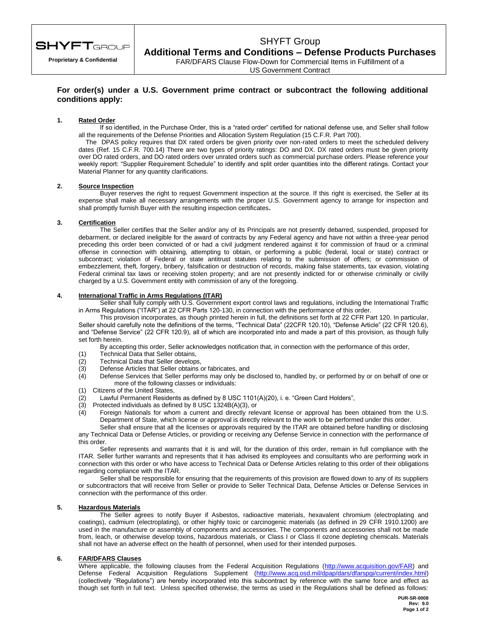

**Proprietary & Confidential**

# SHYFT Group

**Additional Terms and Conditions – Defense Products Purchases** FAR/DFARS Clause Flow-Down for Commercial Items in Fulfillment of a

US Government Contract

## **For order(s) under a U.S. Government prime contract or subcontract the following additional conditions apply:**

#### **1. Rated Order**

If so identified, in the Purchase Order, this is a "rated order" certified for national defense use, and Seller shall follow all the requirements of the Defense Priorities and Allocation System Regulation (15 C.F.R. Part 700).

The DPAS policy requires that DX rated orders be given priority over non-rated orders to meet the scheduled delivery dates (Ref. 15 C.F.R. 700.14) There are two types of priority ratings: DO and DX. DX rated orders must be given priority over DO rated orders, and DO rated orders over unrated orders such as commercial purchase orders. Please reference your weekly report: "Supplier Requirement Schedule" to identify and split order quantities into the different ratings. Contact your Material Planner for any quantity clarifications.

#### **2. Source Inspection**

Buyer reserves the right to request Government inspection at the source. If this right is exercised, the Seller at its expense shall make all necessary arrangements with the proper U.S. Government agency to arrange for inspection and shall promptly furnish Buyer with the resulting inspection certificates**.**

### **3. Certification**

The Seller certifies that the Seller and/or any of its Principals are not presently debarred, suspended, proposed for debarment, or declared ineligible for the award of contracts by any Federal agency and have not within a three-year period preceding this order been convicted of or had a civil judgment rendered against it for commission of fraud or a criminal offense in connection with obtaining, attempting to obtain, or performing a public (federal, local or state) contract or subcontract; violation of Federal or state antitrust statutes relating to the submission of offers; or commission of embezzlement, theft, forgery, bribery, falsification or destruction of records, making false statements, tax evasion, violating Federal criminal tax laws or receiving stolen property; and are not presently indicted for or otherwise criminally or civilly charged by a U.S. Government entity with commission of any of the foregoing.

#### **4. International Traffic in Arms Regulations (ITAR)**

Seller shall fully comply with U.S. Government export control laws and regulations, including the International Traffic in Arms Regulations ("ITAR") at 22 CFR Parts 120-130, in connection with the performance of this order.

This provision incorporates, as though printed herein in full, the definitions set forth at 22 CFR Part 120. In particular, Seller should carefully note the definitions of the terms, "Technical Data" (22CFR 120.10), "Defense Article" (22 CFR 120.6), and "Defense Service" (22 CFR 120.9), all of which are incorporated into and made a part of this provision, as though fully set forth herein.

By accepting this order, Seller acknowledges notification that, in connection with the performance of this order,

- (1) Technical Data that Seller obtains,
- (2) Technical Data that Seller develops,
- (3) Defense Articles that Seller obtains or fabricates, and<br>(4) Defense Services that Seller performs may only be d
- Defense Services that Seller performs may only be disclosed to, handled by, or performed by or on behalf of one or more of the following classes or individuals:
- (1) Citizens of the United States,
- (2) Lawful Permanent Residents as defined by 8 USC 1101(A)(20), i. e. "Green Card Holders",  $(3)$  Protected individuals as defined by 8 USC 1324B(A)(3), or
- Protected individuals as defined by 8 USC 1324B(A)(3), or
- (4) Foreign Nationals for whom a current and directly relevant license or approval has been obtained from the U.S. Department of State, which license or approval is directly relevant to the work to be performed under this order.

Seller shall ensure that all the licenses or approvals required by the ITAR are obtained before handling or disclosing any Technical Data or Defense Articles, or providing or receiving any Defense Service in connection with the performance of this order.

Seller represents and warrants that it is and will, for the duration of this order, remain in full compliance with the ITAR. Seller further warrants and represents that it has advised its employees and consultants who are performing work in connection with this order or who have access to Technical Data or Defense Articles relating to this order of their obligations regarding compliance with the ITAR.

Seller shall be responsible for ensuring that the requirements of this provision are flowed down to any of its suppliers or subcontractors that will receive from Seller or provide to Seller Technical Data, Defense Articles or Defense Services in connection with the performance of this order.

### **5. Hazardous Materials**

The Seller agrees to notify Buyer if Asbestos, radioactive materials, hexavalent chromium (electroplating and coatings), cadmium (electroplating), or other highly toxic or carcinogenic materials (as defined in 29 CFR 1910.1200) are used in the manufacture or assembly of components and accessories. The components and accessories shall not be made from, leach, or otherwise develop toxins, hazardous materials, or Class I or Class II ozone depleting chemicals. Materials shall not have an adverse effect on the health of personnel, when used for their intended purposes.

#### **6. FAR/DFARS Clauses**

Where applicable, the following clauses from the Federal Acquisition Regulations [\(http://www.acquisition.gov/FAR\)](http://www.acquisition.gov/FAR) and Defense Federal Acquisition Regulations Supplement [\(http://www.acq.osd.mil/dpap/dars/dfarspgi/current/index.html\)](http://www.acq.osd.mil/dpap/dars/dfarspgi/current/index.html) (collectively "Regulations") are hereby incorporated into this subcontract by reference with the same force and effect as though set forth in full text. Unless specified otherwise, the terms as used in the Regulations shall be defined as follows: